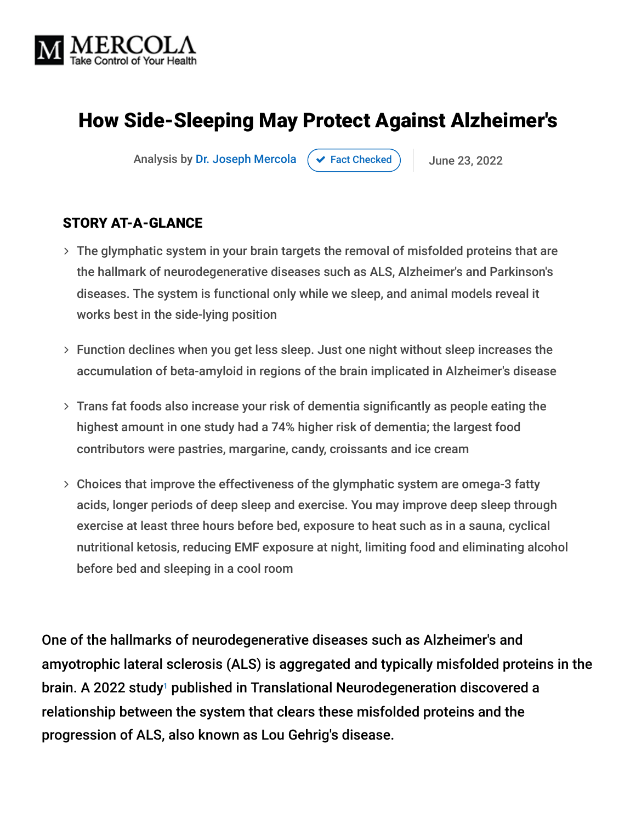

## How Side-Sleeping May Protect Against Alzheimer's

Analysis by [Dr. Joseph Mercola](https://www.mercola.com/forms/background.htm)  $\left( \right. \times$  [Fact Checked](javascript:void(0))  $\left. \right)$  June 23, 2022

#### STORY AT-A-GLANCE

- The glymphatic system in your brain targets the removal of misfolded proteins that are the hallmark of neurodegenerative diseases such as ALS, Alzheimer's and Parkinson's diseases. The system is functional only while we sleep, and animal models reveal it works best in the side-lying position
- Function declines when you get less sleep. Just one night without sleep increases the accumulation of beta-amyloid in regions of the brain implicated in Alzheimer's disease
- Trans fat foods also increase your risk of dementia significantly as people eating the highest amount in one study had a 74% higher risk of dementia; the largest food contributors were pastries, margarine, candy, croissants and ice cream
- Choices that improve the effectiveness of the glymphatic system are omega-3 fatty acids, longer periods of deep sleep and exercise. You may improve deep sleep through exercise at least three hours before bed, exposure to heat such as in a sauna, cyclical nutritional ketosis, reducing EMF exposure at night, limiting food and eliminating alcohol before bed and sleeping in a cool room

One of the hallmarks of neurodegenerative diseases such as Alzheimer's and amyotrophic lateral sclerosis (ALS) is aggregated and typically misfolded proteins in the brain. A 2022 study<sup>1</sup> published in Translational Neurodegeneration discovered a relationship between the system that clears these misfolded proteins and the progression of ALS, also known as Lou Gehrig's disease.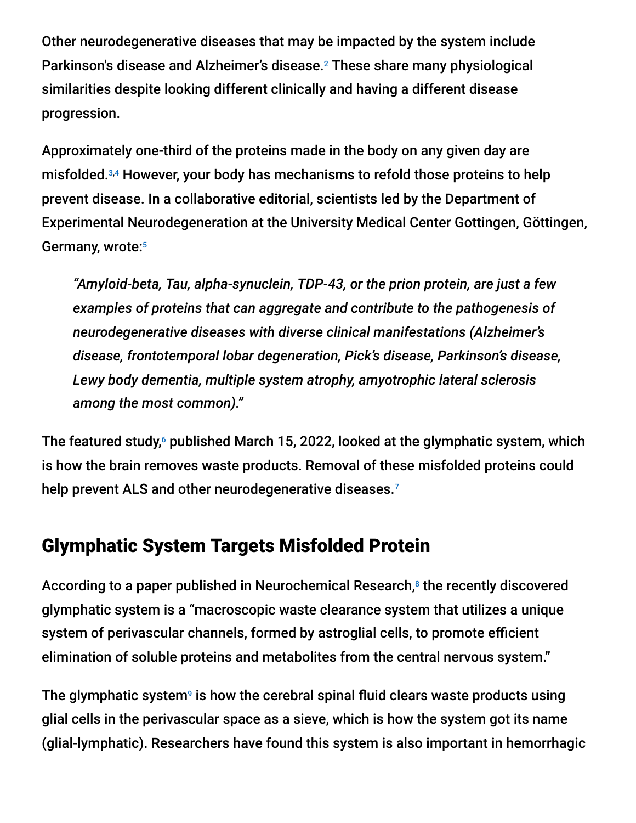Other neurodegenerative diseases that may be impacted by the system include Parkinson's disease and Alzheimer's disease.<sup>2</sup> These share many physiological similarities despite looking different clinically and having a different disease progression.

Approximately one-third of the proteins made in the body on any given day are misfolded.<sup>3,4</sup> However, your body has mechanisms to refold those proteins to help prevent disease. In a collaborative editorial, scientists led by the Department of Experimental Neurodegeneration at the University Medical Center Gottingen, Göttingen, Germany, wrote: 5

*"Amyloid-beta, Tau, alpha-synuclein, TDP-43, or the prion protein, are just a few examples of proteins that can aggregate and contribute to the pathogenesis of neurodegenerative diseases with diverse clinical manifestations (Alzheimer's disease, frontotemporal lobar degeneration, Pick's disease, Parkinson's disease, Lewy body dementia, multiple system atrophy, amyotrophic lateral sclerosis among the most common)."*

The featured study, $\circ$  published March 15, 2022, looked at the glymphatic system, which is how the brain removes waste products. Removal of these misfolded proteins could help prevent ALS and other neurodegenerative diseases.<sup>7</sup>

#### Glymphatic System Targets Misfolded Protein

According to a paper published in Neurochemical Research,<sup>8</sup> the recently discovered glymphatic system is a "macroscopic waste clearance system that utilizes a unique system of perivascular channels, formed by astroglial cells, to promote efficient elimination of soluble proteins and metabolites from the central nervous system."

The glymphatic system $\mathsf{^9}$  is how the cerebral spinal fluid clears waste products using glial cells in the perivascular space as a sieve, which is how the system got its name (glial-lymphatic). Researchers have found this system is also important in hemorrhagic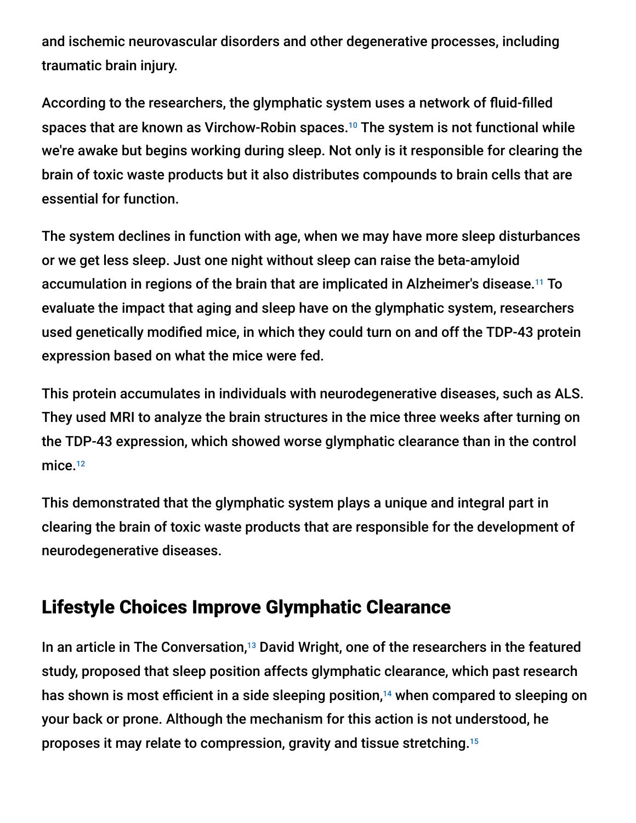and ischemic neurovascular disorders and other degenerative processes, including traumatic brain injury.

According to the researchers, the glymphatic system uses a network of fluid-filled spaces that are known as Virchow-Robin spaces.<sup>10</sup> The system is not functional while we're awake but begins working during sleep. Not only is it responsible for clearing the brain of toxic waste products but it also distributes compounds to brain cells that are essential for function.

The system declines in function with age, when we may have more sleep disturbances or we get less sleep. Just one night without sleep can raise the beta-amyloid accumulation in regions of the brain that are implicated in Alzheimer's disease.<sup>11</sup> To evaluate the impact that aging and sleep have on the glymphatic system, researchers used genetically modified mice, in which they could turn on and off the TDP-43 protein expression based on what the mice were fed.

This protein accumulates in individuals with neurodegenerative diseases, such as ALS. They used MRI to analyze the brain structures in the mice three weeks after turning on the TDP-43 expression, which showed worse glymphatic clearance than in the control mice.<sup>12</sup>

This demonstrated that the glymphatic system plays a unique and integral part in clearing the brain of toxic waste products that are responsible for the development of neurodegenerative diseases.

## Lifestyle Choices Improve Glymphatic Clearance

In an article in The Conversation,<sup>13</sup> David Wright, one of the researchers in the featured study, proposed that sleep position affects glymphatic clearance, which past research has shown is most efficient in a side sleeping position, $14$  when compared to sleeping on your back or prone. Although the mechanism for this action is not understood, he proposes it may relate to compression, gravity and tissue stretching. 15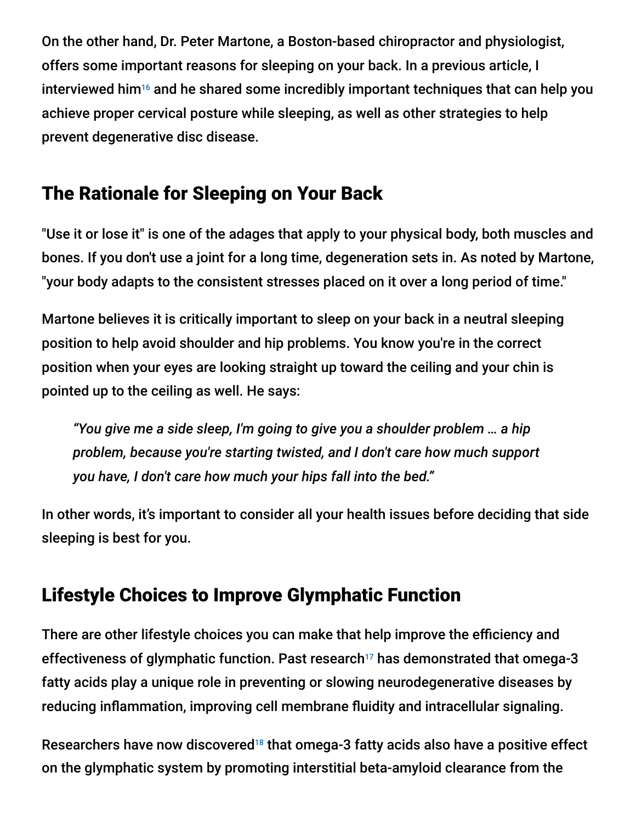On the other hand, Dr. Peter Martone, a Boston-based chiropractor and physiologist, offers some important reasons for sleeping on your back. In a previous article, I interviewed him<sup>16</sup> and he shared some incredibly important techniques that can help you achieve proper cervical posture while sleeping, as well as other strategies to help prevent degenerative disc disease.

## The Rationale for Sleeping on Your Back

"Use it or lose it" is one of the adages that apply to your physical body, both muscles and bones. If you don't use a joint for a long time, degeneration sets in. As noted by Martone, "your body adapts to the consistent stresses placed on it over a long period of time."

Martone believes it is critically important to sleep on your back in a neutral sleeping position to help avoid shoulder and hip problems. You know you're in the correct position when your eyes are looking straight up toward the ceiling and your chin is pointed up to the ceiling as well. He says:

*"You give me a side sleep, I'm going to give you a shoulder problem … a hip problem, because you're starting twisted, and I don't care how much support you have, I don't care how much your hips fall into the bed."*

In other words, it's important to consider all your health issues before deciding that side sleeping is best for you.

# Lifestyle Choices to Improve Glymphatic Function

There are other lifestyle choices you can make that help improve the efficiency and effectiveness of glymphatic function. Past research<sup>17</sup> has demonstrated that omega-3 fatty acids play a unique role in preventing or slowing neurodegenerative diseases by reducing inflammation, improving cell membrane fluidity and intracellular signaling.

Researchers have now discovered<sup>18</sup> that omega-3 fatty acids also have a positive effect on the glymphatic system by promoting interstitial beta-amyloid clearance from the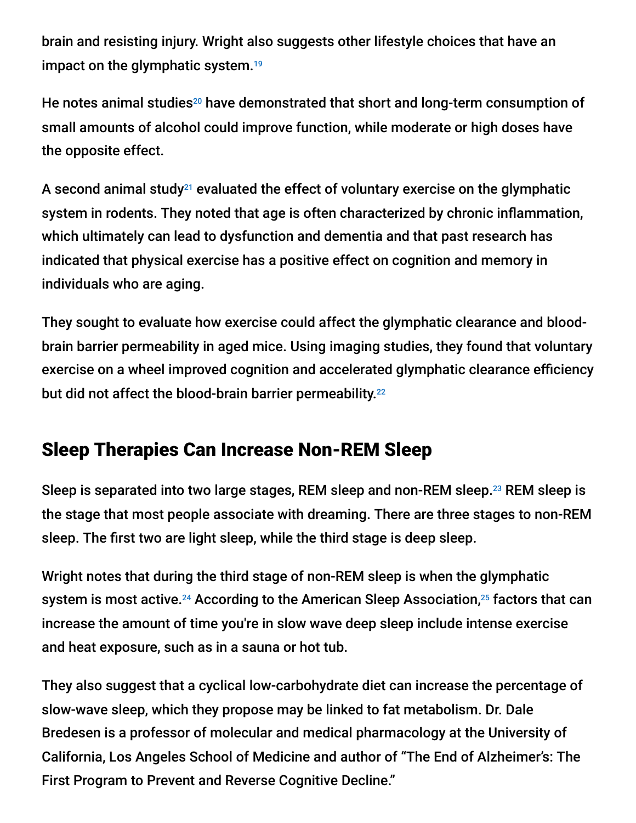brain and resisting injury. Wright also suggests other lifestyle choices that have an impact on the glymphatic system. 19

He notes animal studies $^{20}$  have demonstrated that short and long-term consumption of small amounts of alcohol could improve function, while moderate or high doses have the opposite effect.

A second animal study<sup>21</sup> evaluated the effect of voluntary exercise on the glymphatic system in rodents. They noted that age is often characterized by chronic inflammation, which ultimately can lead to dysfunction and dementia and that past research has indicated that physical exercise has a positive effect on cognition and memory in individuals who are aging.

They sought to evaluate how exercise could affect the glymphatic clearance and bloodbrain barrier permeability in aged mice. Using imaging studies, they found that voluntary exercise on a wheel improved cognition and accelerated glymphatic clearance efficiency but did not affect the blood-brain barrier permeability.<sup>22</sup>

## Sleep Therapies Can Increase Non-REM Sleep

Sleep is separated into two large stages, REM sleep and non-REM sleep. $^{23}$  REM sleep is the stage that most people associate with dreaming. There are three stages to non-REM sleep. The first two are light sleep, while the third stage is deep sleep.

Wright notes that during the third stage of non-REM sleep is when the glymphatic system is most active.<sup>24</sup> According to the American Sleep Association,<sup>25</sup> factors that can increase the amount of time you're in slow wave deep sleep include intense exercise and heat exposure, such as in a sauna or hot tub.

They also suggest that a cyclical low-carbohydrate diet can increase the percentage of slow-wave sleep, which they propose may be linked to fat metabolism. Dr. Dale Bredesen is a professor of molecular and medical pharmacology at the University of California, Los Angeles School of Medicine and author of "The End of Alzheimer's: The First Program to Prevent and Reverse Cognitive Decline."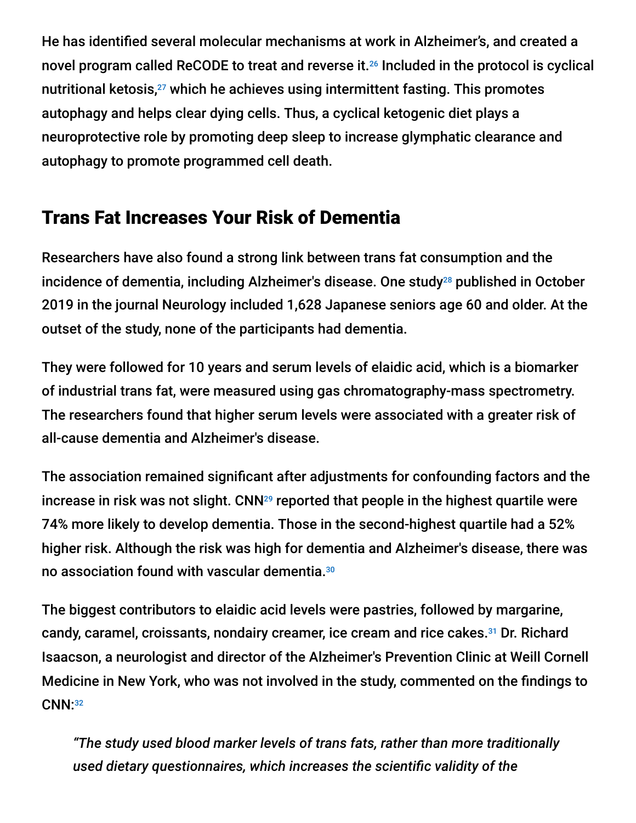He has identified several molecular mechanisms at work in Alzheimer's, and created a novel program called ReCODE to treat and reverse it. $26$  Included in the protocol is cyclical nutritional ketosis, $^{27}$  which he achieves using intermittent fasting. This promotes autophagy and helps clear dying cells. Thus, a cyclical ketogenic diet plays a neuroprotective role by promoting deep sleep to increase glymphatic clearance and autophagy to promote programmed cell death.

## Trans Fat Increases Your Risk of Dementia

Researchers have also found a strong link between trans fat consumption and the incidence of dementia, including Alzheimer's disease. One study<sup>28</sup> published in October 2019 in the journal Neurology included 1,628 Japanese seniors age 60 and older. At the outset of the study, none of the participants had dementia.

They were followed for 10 years and serum levels of elaidic acid, which is a biomarker of industrial trans fat, were measured using gas chromatography-mass spectrometry. The researchers found that higher serum levels were associated with a greater risk of all-cause dementia and Alzheimer's disease.

The association remained significant after adjustments for confounding factors and the increase in risk was not slight.  $\mathsf{CNN}^{\scriptscriptstyle 29}$  reported that people in the highest quartile were 74% more likely to develop dementia. Those in the second-highest quartile had a 52% higher risk. Although the risk was high for dementia and Alzheimer's disease, there was no association found with vascular dementia. 30

The biggest contributors to elaidic acid levels were pastries, followed by margarine, candy, caramel, croissants, nondairy creamer, ice cream and rice cakes.<sup>31</sup> Dr. Richard Isaacson, a neurologist and director of the Alzheimer's Prevention Clinic at Weill Cornell Medicine in New York, who was not involved in the study, commented on the findings to CNN: 32

*"The study used blood marker levels of trans fats, rather than more traditionally used dietary questionnaires, which increases the scientific validity of the*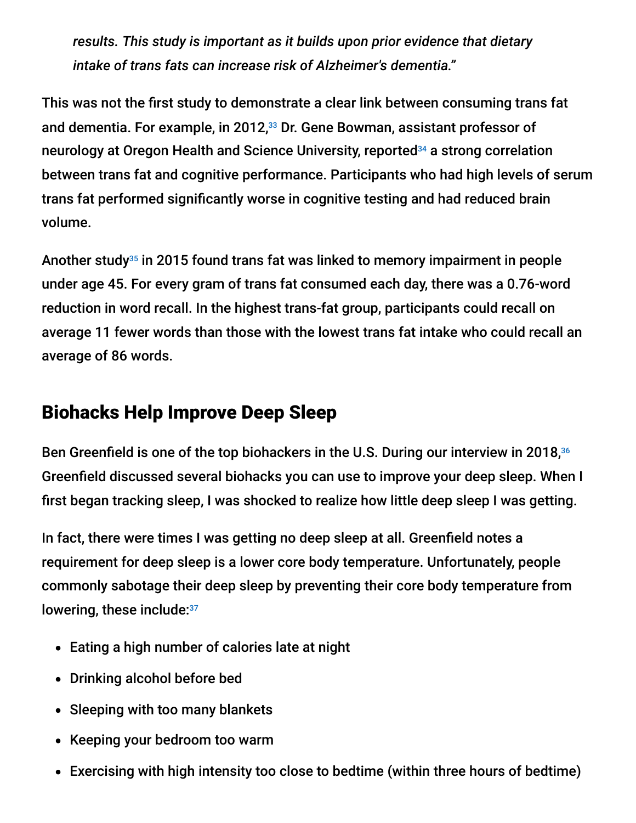*results. This study is important as it builds upon prior evidence that dietary intake of trans fats can increase risk of Alzheimer's dementia."*

This was not the first study to demonstrate a clear link between consuming trans fat and dementia. For example, in 2012,<sup>33</sup> Dr. Gene Bowman, assistant professor of neurology at Oregon Health and Science University, reported<sup>34</sup> a strong correlation between trans fat and cognitive performance. Participants who had high levels of serum trans fat performed significantly worse in cognitive testing and had reduced brain volume.

Another study<sup>35</sup> in 2015 found trans fat was linked to memory impairment in people under age 45. For every gram of trans fat consumed each day, there was a 0.76-word reduction in word recall. In the highest trans-fat group, participants could recall on average 11 fewer words than those with the lowest trans fat intake who could recall an average of 86 words.

#### Biohacks Help Improve Deep Sleep

Ben Greenfield is one of the top biohackers in the U.S. During our interview in 2018, 36 Greenfield discussed several biohacks you can use to improve your deep sleep. When I first began tracking sleep, I was shocked to realize how little deep sleep I was getting.

In fact, there were times I was getting no deep sleep at all. Greenfield notes a requirement for deep sleep is a lower core body temperature. Unfortunately, people commonly sabotage their deep sleep by preventing their core body temperature from lowering, these include: 37

- Eating a high number of calories late at night
- Drinking alcohol before bed
- Sleeping with too many blankets
- Keeping your bedroom too warm
- Exercising with high intensity too close to bedtime (within three hours of bedtime)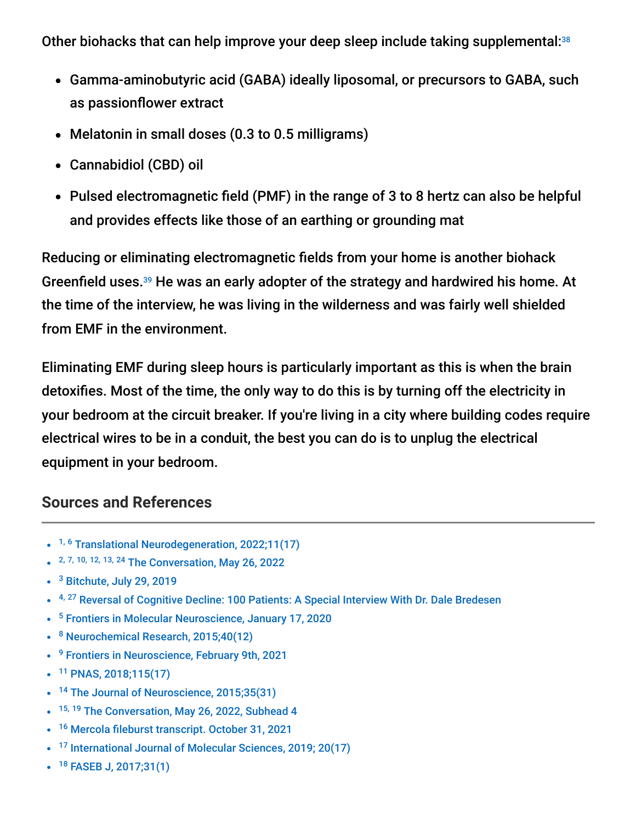Other biohacks that can help improve your deep sleep include taking supplemental:<sup>38</sup>

- Gamma-aminobutyric acid (GABA) ideally liposomal, or precursors to GABA, such as passionflower extract
- Melatonin in small doses (0.3 to 0.5 milligrams)
- Cannabidiol (CBD) oil
- Pulsed electromagnetic field (PMF) in the range of 3 to 8 hertz can also be helpful and provides effects like those of an earthing or grounding mat

Reducing or eliminating electromagnetic fields from your home is another biohack Greenfield uses.<sup>39</sup> He was an early adopter of the strategy and hardwired his home. At the time of the interview, he was living in the wilderness and was fairly well shielded from EMF in the environment.

Eliminating EMF during sleep hours is particularly important as this is when the brain detoxifies. Most of the time, the only way to do this is by turning off the electricity in your bedroom at the circuit breaker. If you're living in a city where building codes require electrical wires to be in a conduit, the best you can do is to unplug the electrical equipment in your bedroom.

#### **Sources and References**

- <sup>1, 6</sup> [Translational Neurodegeneration, 2022;11\(17\)](https://translationalneurodegeneration.biomedcentral.com/articles/10.1186/s40035-022-00291-4)
- 2, 7, 10, 12, 13, 24 [The Conversation, May 26, 2022](https://theconversation.com/on-your-back-side-face-down-mice-show-how-we-sleep-may-trigger-or-protect-our-brain-from-diseases-like-als-181954)
- <sup>3</sup> [Bitchute, July 29, 2019](https://www.bitchute.com/video/br4FfIucq5c/)
- <sup>4, 27</sup> [Reversal of Cognitive Decline: 100 Patients: A Special Interview With Dr. Dale Bredesen](https://mercola.fileburst.com/PDF/ExpertInterviewTranscripts/Interview-DaleBredesen-ReversalOfCognitiveDecline.pdf)
- <sup>5</sup> [Frontiers in Molecular Neuroscience, January 17, 2020](https://www.frontiersin.org/articles/10.3389/fnmol.2019.00312/full)
- <sup>8</sup> [Neurochemical Research, 2015;40\(12\)](https://www.ncbi.nlm.nih.gov/pmc/articles/PMC4636982/)
- <sup>9</sup> [Frontiers in Neuroscience, February 9th, 2021](https://www.frontiersin.org/articles/10.3389/fnins.2021.639140/full)
- <sup>11</sup> [PNAS, 2018;115\(17\)](https://www.pnas.org/doi/10.1073/pnas.1721694115)
- <sup>14</sup> [The Journal of Neuroscience, 2015;35\(31\)](https://www.ncbi.nlm.nih.gov/pmc/articles/PMC4524974/)
- <sup>15, 19</sup> [The Conversation, May 26, 2022, Subhead 4](https://theconversation.com/on-your-back-side-face-down-mice-show-how-we-sleep-may-trigger-or-protect-our-brain-from-diseases-like-als-181954)
- <sup>16</sup> [Mercola fileburst transcript. October 31, 2021](https://mercola.fileburst.com/PDF/ExpertInterviewTranscripts/Interview-PeterMartone-CorrectingSleepPosture.pdf)
- <sup>17</sup> [International Journal of Molecular Sciences, 2019; 20\(17\)](https://www.ncbi.nlm.nih.gov/pmc/articles/PMC6747747/)
- <sup>18</sup> [FASEB J, 2017;31\(1\)](https://pubmed.ncbi.nlm.nih.gov/27789520/)